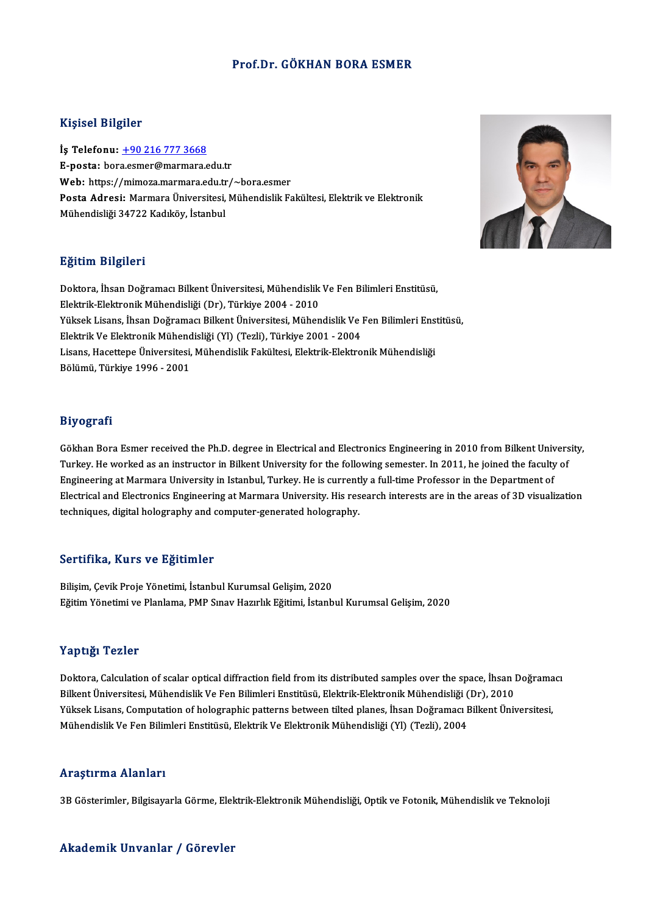#### Prof.Dr. GÖKHAN BORA ESMER

#### Kişisel Bilgiler

İş Telefonu: +90 216 777 3668 E-posta: bor[a.esmer@marmara.e](tel:+90 216 777 3668)du.tr Web: https://mimoza.marmara.edu.tr/~bora.esmer E-posta: bora.esmer@marmara.edu.tr<br>Web: https://mimoza.marmara.edu.tr/~bora.esmer<br>Posta Adresi: Marmara Üniversitesi, Mühendislik Fakültesi, Elektrik ve Elektronik<br>Mühendisliği 24722 Kodılröy, İstanbul <mark>Web:</mark> https://mimoza.marmara.edu.tr<br><mark>Posta Adresi:</mark> Marmara Üniversitesi,<br>Mühendisliği 34722 Kadıköy, İstanbul Mühendisliği 34722 Kadıköy, İstanbul<br>Eğitim Bilgileri

E<mark>ğitim Bilgileri</mark><br>Doktora, İhsan Doğramacı Bilkent Üniversitesi, Mühendislik Ve Fen Bilimleri Enstitüsü,<br>Flaktrik Flaktropik Mühandialiği (Dr.), Türkiye 2004, 2010 Elektrik-Eristroni<br>Doktora, İhsan Doğramacı Bilkent Üniversitesi, Mühendislik<br>Elektrik-Elektronik Mühendisliği (Dr), Türkiye 2004 - 2010<br>Vülgek Lisana, İhsan Doğramacı Billent Üniversitesi, Mühen Doktora, İhsan Doğramacı Bilkent Üniversitesi, Mühendislik Ve Fen Bilimleri Enstitüsü,<br>Elektrik-Elektronik Mühendisliği (Dr), Türkiye 2004 - 2010<br>Yüksek Lisans, İhsan Doğramacı Bilkent Üniversitesi, Mühendislik Ve Fen Bili Elektrik-Elektronik Mühendisliği (Dr), Türkiye 2004 - 2010<br>Yüksek Lisans, İhsan Doğramacı Bilkent Üniversitesi, Mühendislik Ve |<br>Elektrik Ve Elektronik Mühendisliği (Yl) (Tezli), Türkiye 2001 - 2004<br>Lisans, Hassttone Ünive Yüksek Lisans, İhsan Doğramacı Bilkent Üniversitesi, Mühendislik Ve Fen Bilimleri Ens<br>Elektrik Ve Elektronik Mühendisliği (Yl) (Tezli), Türkiye 2001 - 2004<br>Lisans, Hacettepe Üniversitesi, Mühendislik Fakültesi, Elektrik-El Elektrik Ve Elektronik Mühend<br>Lisans, Hacettepe Üniversitesi,<br>Bölümü, Türkiye 1996 - 2001 Bölümü, Türkiye 1996 - 2001<br>Biyografi

Gökhan Bora Esmer received the Ph.D. degree in Electrical and Electronics Engineering in 2010 from Bilkent University, Turkey. He worked as an instructor in Bilkent University for the following semester. In 2011, he joined the faculty of Gökhan Bora Esmer received the Ph.D. degree in Electrical and Electronics Engineering in 2010 from Bilkent Univ<br>Turkey. He worked as an instructor in Bilkent University for the following semester. In 2011, he joined the fa Turkey. He worked as an instructor in Bilkent University for the following semester. In 2011, he joined the faculty of<br>Engineering at Marmara University in Istanbul, Turkey. He is currently a full-time Professor in the Dep Engineering at Marmara University in Istanbul, Turkey. He is current<br>Electrical and Electronics Engineering at Marmara University. His res<br>techniques, digital holography and computer-generated holography. techniques, digital holography and computer-generated holography.<br>Sertifika, Kurs ve Eğitimler

Bilişim, Çevik Proje Yönetimi, İstanbul Kurumsal Gelişim, 2020 Eğitim Yönetimi ve Planlama, PMP Sınav Hazırlık Eğitimi, İstanbul Kurumsal Gelişim, 2020

#### Yaptığı Tezler

Yaptığı Tezler<br>Doktora, Calculation of scalar optical diffraction field from its distributed samples over the space, İhsan Doğramacı<br>Bilkont Üniversitesi, Mühandislik Ve Fan Bilimleri Enstitüsü, Flektrik Flektronik Mühandi 1 ap 1915<br>Doktora, Calculation of scalar optical diffraction field from its distributed samples over the space, İhsan l<br>Bilkent Üniversitesi, Mühendislik Ve Fen Bilimleri Enstitüsü, Elektrik-Elektronik Mühendisliği (Dr), 2 Doktora, Calculation of scalar optical diffraction field from its distributed samples over the space, İhsan Doğrama<br>Bilkent Üniversitesi, Mühendislik Ve Fen Bilimleri Enstitüsü, Elektrik-Elektronik Mühendisliği (Dr), 2010<br> Bilkent Üniversitesi, Mühendislik Ve Fen Bilimleri Enstitüsü, Elektrik-Elektronik Mühendisliği (<br>Yüksek Lisans, Computation of holographic patterns between tilted planes, İhsan Doğramacı I<br>Mühendislik Ve Fen Bilimleri Enst Mühendislik Ve Fen Bilimleri Enstitüsü, Elektrik Ve Elektronik Mühendisliği (Yl) (Tezli), 2004<br>Araştırma Alanları

3B Gösterimler, Bilgisayarla Görme, Elektrik-Elektronik Mühendisliği, Optik ve Fotonik, Mühendislik ve Teknoloji

#### Akademik Unvanlar / Görevler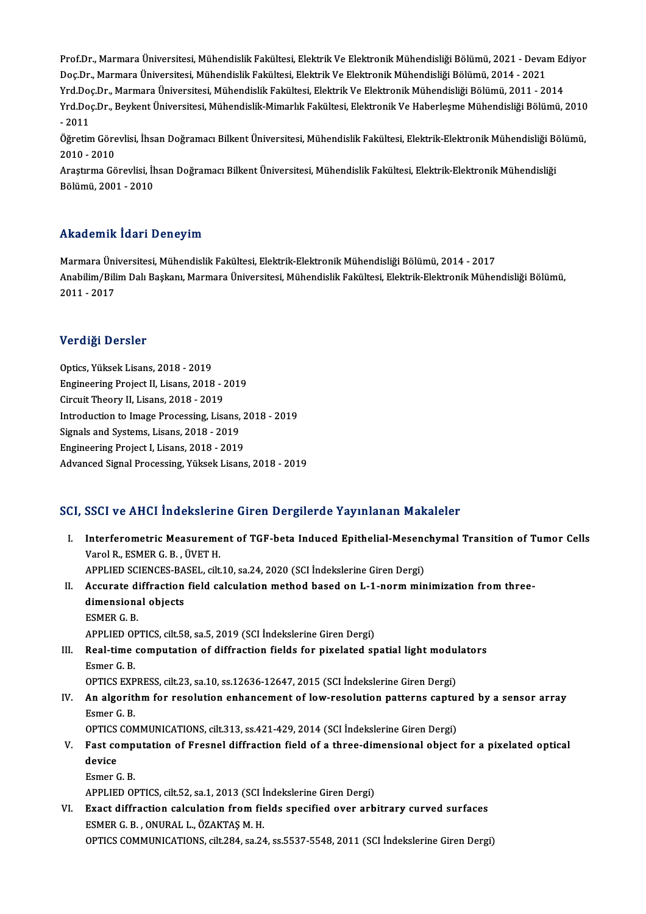Prof.Dr., Marmara Üniversitesi, Mühendislik Fakültesi, Elektrik Ve Elektronik Mühendisliği Bölümü, 2021 - Devam Ediyor<br>Des Dr., Marmara Üniversitesi, Mühendislik Fakültesi, Elektrik Ve Elektronik Mühendisliği Bölümü, 2021, Prof.Dr., Marmara Üniversitesi, Mühendislik Fakültesi, Elektrik Ve Elektronik Mühendisliği Bölümü, 2021 - Devai<br>Doç.Dr., Marmara Üniversitesi, Mühendislik Fakültesi, Elektrik Ve Elektronik Mühendisliği Bölümü, 2014 - 2021<br> Prof.Dr., Marmara Üniversitesi, Mühendislik Fakültesi, Elektrik Ve Elektronik Mühendisliği Bölümü, 2021 - Devam Ed<br>Doç.Dr., Marmara Üniversitesi, Mühendislik Fakültesi, Elektrik Ve Elektronik Mühendisliği Bölümü, 2014 - 20 Doç.Dr., Marmara Üniversitesi, Mühendislik Fakültesi, Elektrik Ve Elektronik Mühendisliği Bölümü, 2014 - 2021<br>Yrd.Doç.Dr., Marmara Üniversitesi, Mühendislik-Fakültesi, Elektrik Ve Elektronik Mühendisliği Bölümü, 2011 - 201 Yrd.Doç.Dr., Marmara Üniversitesi, Mühendislik Fakültesi, Elektrik Ve Elektronik Mühendisliği Bölümü, 2011 - 2014<br>Yrd.Doç.Dr., Beykent Üniversitesi, Mühendislik-Mimarlık Fakültesi, Elektronik Ve Haberleşme Mühendisliği Böl Yrd.Doç.Dr., Beykent Üniversitesi, Mühendislik-Mimarlık Fakültesi, Elektronik Ve Haberleşme Mühendisliği Bölümü, 2010<br>- 2011<br>Öğretim Görevlisi, İhsan Doğramacı Bilkent Üniversitesi, Mühendislik Fakültesi, Elektrik-Elektron

- 2011<br>Öğretim Göre<br>2010 - 2010<br>Arastuma Gö Öğretim Görevlisi, İhsan Doğramacı Bilkent Üniversitesi, Mühendislik Fakültesi, Elektrik-Elektronik Mühendisliği B<br>2010 - 2010<br>Araştırma Görevlisi, İhsan Doğramacı Bilkent Üniversitesi, Mühendislik Fakültesi, Elektrik-Elek

2010 - 2010<br>Araştırma Görevlisi, İhsan Doğramacı Bilkent Üniversitesi, Mühendislik Fakültesi, Elektrik-Elektronik Mühendisliği<br>Bölümü, 2001 - 2010

# Akademik İdari Deneyim

Akademik İdari Deneyim<br>Marmara Üniversitesi, Mühendislik Fakültesi, Elektrik-Elektronik Mühendisliği Bölümü, 2014 - 2017<br>Anabilim (Bilim Dalı Baskanı, Marmara Üniversitesi, Mühandislik Fakültesi, Elektrik Flektronik Mühar Anabilim/Bilim Dalı Başkanı, Marmara Üniversitesi, Mühendislik Fakültesi, Elektrik-Elektronik Mühendisliği Bölümü,<br>2011 - 2017 Marmara Üni<br>Anabilim/Bili<br>2011 - 2017

## Verdiği Dersler

Optics,YüksekLisans,2018 -2019 Protaty Derect<br>Optics, Yüksek Lisans, 2018 - 2019<br>Engineering Project II, Lisans, 2018 - 2019<br>Cirquit Theory II, Lisans, 2018 - 2019 Optics, Yüksek Lisans, 2018 - 2019<br>Engineering Project II, Lisans, 2018 - 2<br>Circuit Theory II, Lisans, 2018 - 2019<br>Introduction to Image Brosessing J iss Engineering Project II, Lisans, 2018 - 2019<br>Circuit Theory II, Lisans, 2018 - 2019<br>Introduction to Image Processing, Lisans, 2018 - 2019<br>Signals and Systems, Lisans, 2019, 2019 Circuit Theory II, Lisans, 2018 - 2019<br>Introduction to Image Processing, Lisans,<br>Signals and Systems, Lisans, 2018 - 2019<br>Engineering Project Llisans, 2018 - 2019 Introduction to Image Processing, Lisans, 2<br>Signals and Systems, Lisans, 2018 - 2019<br>Engineering Project I, Lisans, 2018 - 2019<br>Advanced Signal Processing, Yükselt Lisans Signals and Systems, Lisans, 2018 - 2019<br>Engineering Project I, Lisans, 2018 - 2019<br>Advanced Signal Processing, Yüksek Lisans, 2018 - 2019

### SCI, SSCI ve AHCI İndekslerine Giren Dergilerde Yayınlanan Makaleler

CI, SSCI ve AHCI İndekslerine Giren Dergilerde Yayınlanan Makaleler<br>I. Interferometric Measurement of TGF-beta Induced Epithelial-Mesenchymal Transition of Tumor Cells<br> <sup>Vanel B.</sup> ESMER C. B. ÜVET H Varol Varmen Indonesien<br>Interferometric Measureme<br>Varol R., ESMER G. B. , ÜVET H.<br>APPLIED SCIENCES PASEL silt Interferometric Measurement of TGF-beta Induced Epithelial-Mesend<br>Varol R., ESMER G. B. , ÜVET H.<br>APPLIED SCIENCES-BASEL, cilt.10, sa.24, 2020 (SCI İndekslerine Giren Dergi)<br>Accurate diffrection field calculation methed ba Varol R., ESMER G. B. , ÜVET H.<br>APPLIED SCIENCES-BASEL, cilt.10, sa.24, 2020 (SCI İndekslerine Giren Dergi)<br>II. Accurate diffraction field calculation method based on L-1-norm minimization from three-<br>dimensional objects APPLIED SCIENCES-BA<br>Accurate diffraction<br>dimensional objects<br>ESMEP C P **Accurate di<br>dimensional**<br>ESMER G. B.<br>APPLIED OP dimensional objects<br>ESMER G. B.<br>APPLIED OPTICS, cilt.58, sa.5, 2019 (SCI İndekslerine Giren Dergi)<br>Peal time computation of diffrestion fields for pivelated er ESMER G. B.<br>APPLIED OPTICS, cilt.58, sa.5, 2019 (SCI Indekslerine Giren Dergi)<br>III. Real-time computation of diffraction fields for pixelated spatial light modulators<br>Feman G. B APPLIED OF<br>Real-time<br>Esmer G. B.<br>OPTICS EVP Real-time computation of diffraction fields for pixelated spatial light modult Esmer G. B.<br>Esmer G. B.<br>OPTICS EXPRESS, cilt.23, sa.10, ss.12636-12647, 2015 (SCI İndekslerine Giren Dergi) Esmer G. B.<br>OPTICS EXPRESS, cilt.23, sa.10, ss.12636-12647, 2015 (SCI Indekslerine Giren Dergi)<br>IV. An algorithm for resolution enhancement of low-resolution patterns captured by a sensor array<br>Esmer G. B. OPTICS EXPRESS, cilt.23, sa.10, ss.12636-12647, 2015 (SCI Indekslerine Giren Dergi) An algorithm for resolution enhancement of low-resolution patterns capture<br>Esmer G. B.<br>OPTICS COMMUNICATIONS, cilt.313, ss.421-429, 2014 (SCI İndekslerine Giren Dergi)<br>Fest computation of Eneanal diffusation field of a thr Esmer G. B.<br>OPTICS COMMUNICATIONS, cilt.313, ss.421-429, 2014 (SCI İndekslerine Giren Dergi)<br>V. Fast computation of Fresnel diffraction field of a three-dimensional object for a pixelated optical<br>dovias OPTICS<br>Fast co<br>device<br>Esmon ( Fast comp<br>device<br>Esmer G. B.<br>APPLIED OI device<br>Esmer G. B.<br>APPLIED OPTICS, cilt.52, sa.1, 2013 (SCI İndekslerine Giren Dergi) VI. Exact diffraction calculation fromfields specified over arbitrary curved surfaces ESMERG.B. ,ONURAL L.,ÖZAKTAŞM.H. OPTICS COMMUNICATIONS, cilt.284, sa.24, ss.5537-5548, 2011 (SCI İndekslerine Giren Dergi)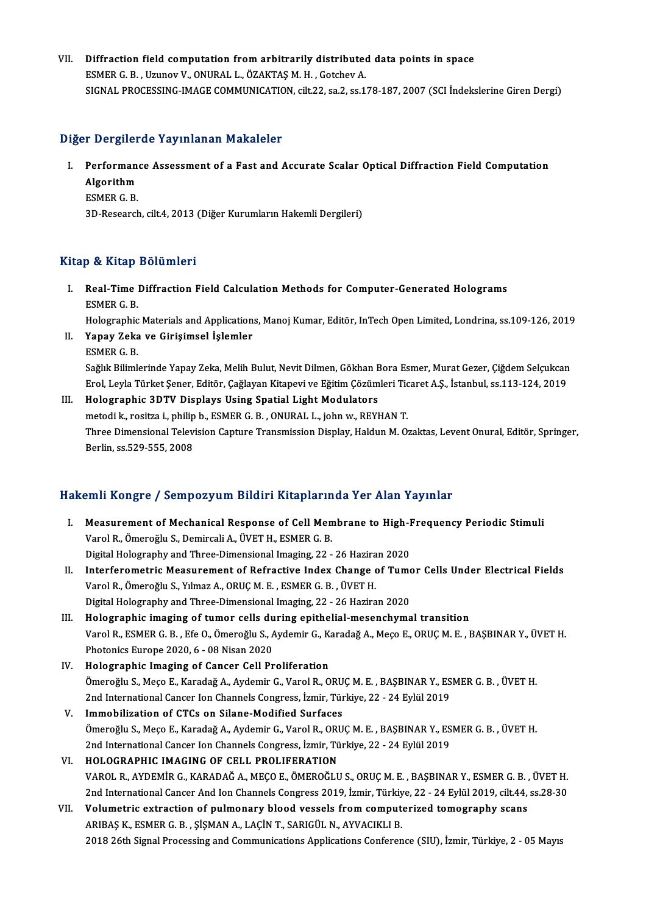VII. Diffraction field computation from arbitrarily distributed data points in space ESMERG.B. ,UzunovV.,ONURAL L.,ÖZAKTAŞM.H. ,GotchevA. SIGNAL PROCESSING-IMAGE COMMUNICATION, cilt.22, sa.2, ss.178-187, 2007 (SCI İndekslerine Giren Dergi)

### Diğer Dergilerde Yayınlanan Makaleler

- Iger Dergilerde Yayınlanan Makaleler<br>I. Performance Assessment of a Fast and Accurate Scalar Optical Diffraction Field Computation<br>Algorithm Performan<br>Algorithm<br>ESMER C P Performan<br>Algorithm<br>ESMER G. B.<br><sup>2D. Bosoarch</sup> Algorithm<br>ESMER G. B.<br>3D-Research, cilt.4, 2013 (Diğer Kurumların Hakemli Dergileri)
	-

## Kitap & Kitap Bölümleri

Itap & Kitap Bölümleri<br>I. Real-Time Diffraction Field Calculation Methods for Computer-Generated Holograms<br>FEMER C P Pet Kittle<br>Real-Time<br>ESMER G. B.<br>Helegraphic ESMER G. B.<br>Holographic Materials and Applications, Manoj Kumar, Editör, InTech Open Limited, Londrina, ss.109-126, 2019 ESMER G. B.<br>Holographic Materials and Application:<br>II. Yapay Zeka ve Girişimsel İşlemler<br>ESMER G. B

- Holographic<br><mark>Yapay Zeka</mark><br>ESMER G. B.<br>Soğlık Biliml
	-

ESMER G. B.<br>Sağlık Bilimlerinde Yapay Zeka, Melih Bulut, Nevit Dilmen, Gökhan Bora Esmer, Murat Gezer, Çiğdem Selçukcan ESMER G. B.<br>Sağlık Bilimlerinde Yapay Zeka, Melih Bulut, Nevit Dilmen, Gökhan Bora Esmer, Murat Gezer, Çiğdem Selçukcan<br>Erol, Leyla Türket Şener, Editör, Çağlayan Kitapevi ve Eğitim Çözümleri Ticaret A.Ş., İstanbul, ss.113

# III. Holographic 3DTV Displays Using Spatial Light Modulators Erol, Leyla Türket Şener, Editör, Çağlayan Kitapevi ve Eğitim Çözümleri Tic<br>Holographic 3DTV Displays Using Spatial Light Modulators<br>metodi k., rositza i., philip b., ESMER G. B. , ONURAL L., john w., REYHAN T.<br>Three Dimen Three Dimensional Television Capture Transmission Display, Haldun M. Ozaktas, Levent Onural, Editör, Springer,<br>Berlin, ss.529-555, 2008 metodi k., rositza i., philip b., ESMER G. B., ONURAL L., john w., REYHAN T.

# HakemliKongre / SempozyumBildiriKitaplarında Yer Alan Yayınlar

- akemli Kongre / Sempozyum Bildiri Kitaplarında Yer Alan Yayınlar<br>I. Measurement of Mechanical Response of Cell Membrane to High-Frequency Periodic Stimuli<br>Varel B. Ömereğlu S. Demireali A. ÜVET H. ESMER C. B Varit Rongre 7 Sompozyum Shufi Ricupiul III.<br>Measurement of Mechanical Response of Cell Men<br>Varol R., Ömeroğlu S., Demircali A., ÜVET H., ESMER G. B.<br>Digital Helegraphy and Three Dimonsional Imaging 22 Measurement of Mechanical Response of Cell Membrane to High-I<br>Varol R., Ömeroğlu S., Demircali A., ÜVET H., ESMER G. B.<br>Digital Holography and Three-Dimensional Imaging, 22 - 26 Haziran 2020<br>Interferemetris Measurement of Varol R., Ömeroğlu S., Demircali A., ÜVET H., ESMER G. B.<br>Digital Holography and Three-Dimensional Imaging, 22 - 26 Haziran 2020<br>II. Interferometric Measurement of Refractive Index Change of Tumor Cells Under Electrical Fi
- Digital Holography and Three-Dimensional Imaging, 22 26 Haziran 2020<br>Interferometric Measurement of Refractive Index Change of Tum<br>Varol R., Ömeroğlu S., Yılmaz A., ORUÇ M. E., ESMER G. B., ÜVET H.<br>Digital Holography and Interferometric Measurement of Refractive Index Change of Tumc<br>Varol R., Ömeroğlu S., Yılmaz A., ORUÇ M. E. , ESMER G. B. , ÜVET H.<br>Digital Holography and Three-Dimensional Imaging, 22 - 26 Haziran 2020<br>Holographie imaging
- III. Holographic imaging of tumor cells during epithelial-mesenchymal transition Digital Holography and Three-Dimensional Imaging, 22 - 26 Haziran 2020<br>Holographic imaging of tumor cells during epithelial-mesenchymal transition<br>Varol R., ESMER G. B. , Efe O., Ömeroğlu S., Aydemir G., Karadağ A., Meço E Holographic imaging of tumor cells du<br>Varol R., ESMER G. B. , Efe O., Ömeroğlu S., A<br>Photonics Europe 2020, 6 - 08 Nisan 2020<br>Holographie Imaging of Gancer Goll Br Photonics Europe 2020, 6 - 08 Nisan 2020<br>IV. Holographic Imaging of Cancer Cell Proliferation
- Photonics Europe 2020, 6 08 Nisan 2020<br>Holographic Imaging of Cancer Cell Proliferation<br>Ömeroğlu S., Meço E., Karadağ A., Aydemir G., Varol R., ORUÇ M. E. , BAŞBINAR Y., ESMER G. B. , ÜVET H.<br>2nd International Cancer Ion Holographic Imaging of Cancer Cell Proliferation<br>Ömeroğlu S., Meço E., Karadağ A., Aydemir G., Varol R., ORUÇ M. E. , BAŞBINAR Y., ES<br>2nd International Cancer Ion Channels Congress, İzmir, Türkiye, 22 - 24 Eylül 2019<br>Immeb
- 2nd International Cancer Ion Channels Congress, İzmir, Türkiye, 22 24 Eylül 2019<br>V. Immobilization of CTCs on Silane-Modified Surfaces 2nd International Cancer Ion Channels Congress, İzmir, Türkiye, 22 - 24 Eylül 2019<br>Immobilization of CTCs on Silane-Modified Surfaces<br>Ömeroğlu S., Meço E., Karadağ A., Aydemir G., Varol R., ORUÇ M. E. , BAŞBINAR Y., ESMER Immobilization of CTCs on Silane-Modified Surfaces<br>Ömeroğlu S., Meço E., Karadağ A., Aydemir G., Varol R., ORUÇ M. E. , BAŞBINAR Y., ES<br>2nd International Cancer Ion Channels Congress, İzmir, Türkiye, 22 - 24 Eylül 2019<br>HOL Ömeroğlu S., Meço E., Karadağ A., Aydemir G., Varol R., ORU<br>2nd International Cancer Ion Channels Congress, İzmir, Tü<br>VI. HOLOGRAPHIC IMAGING OF CELL PROLIFERATION<br>VAROL B. AYDEMİR G. KARADAĞ A. MEGO E. ÖMEROĞLU
- 2nd International Cancer Ion Channels Congress, İzmir, Türkiye, 22 24 Eylül 2019<br>HOLOGRAPHIC IMAGING OF CELL PROLIFERATION<br>VAROL R., AYDEMİR G., KARADAĞ A., MEÇO E., ÖMEROĞLU S., ORUÇ M. E. , BAŞBINAR Y., ESMER G. B. , Ü HOLOGRAPHIC IMAGING OF CELL PROLIFERATION<br>VAROL R., AYDEMİR G., KARADAĞ A., MEÇO E., ÖMEROĞLU S., ORUÇ M. E. , BAŞBINAR Y., ESMER G. B. , ÜVET H.<br>2nd International Cancer And Ion Channels Congress 2019, İzmir, Türkiye, 22 VAROL R., AYDEMIR G., KARADAĞ A., MEÇO E., ÖMEROĞLU S., ORUÇ M. E. , BAŞBINAR Y., ESMER G. B. ,<br>2nd International Cancer And Ion Channels Congress 2019, İzmir, Türkiye, 22 - 24 Eylül 2019, cilt.44,<br>VII. Volumetric extracti
- 2nd International Cancer And Ion Channels Congress 2019, İzmir, Türkiye, 22 24 Eylül 2019, cilt.44, ss.28-30<br>Volumetric extraction of pulmonary blood vessels from computerized tomography scans<br>ARIBAŞ K., ESMER G. B. , Şİ 2018 26th Signal Processing and Communications Applications Conference (SIU), İzmir, Türkiye, 2 - 05 Mayıs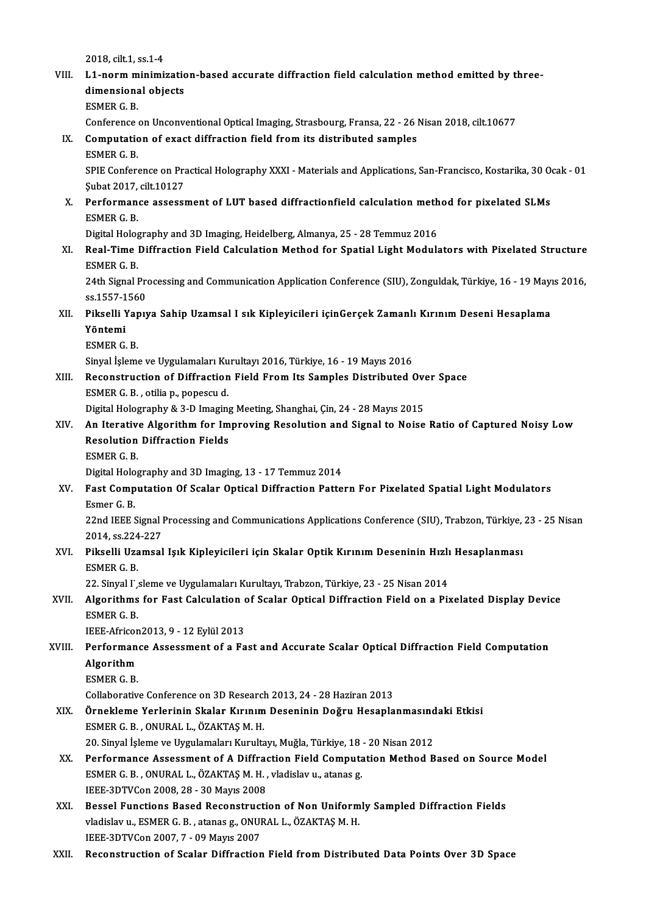2018, cilt.1, ss.1-4<br>11 norm minimi

|        | 2018, cilt 1, ss 1-4                                                                                                                                                           |
|--------|--------------------------------------------------------------------------------------------------------------------------------------------------------------------------------|
| VIII.  | L1-norm minimization-based accurate diffraction field calculation method emitted by three-                                                                                     |
|        | dimensional objects<br><b>ESMER G B</b>                                                                                                                                        |
|        | Conference on Unconventional Optical Imaging, Strasbourg, Fransa, 22 - 26 Nisan 2018, cilt.10677                                                                               |
| IX.    | Computation of exact diffraction field from its distributed samples                                                                                                            |
|        | <b>ESMER G B</b>                                                                                                                                                               |
|        | SPIE Conference on Practical Holography XXXI - Materials and Applications, San-Francisco, Kostarika, 30 Ocak - 01                                                              |
|        | Şubat 2017, cilt 10127                                                                                                                                                         |
| X.     | Performance assessment of LUT based diffractionfield calculation method for pixelated SLMs                                                                                     |
|        | ESMER G B                                                                                                                                                                      |
|        | Digital Holography and 3D Imaging, Heidelberg, Almanya, 25 - 28 Temmuz 2016                                                                                                    |
| XI.    | Real-Time Diffraction Field Calculation Method for Spatial Light Modulators with Pixelated Structure                                                                           |
|        | <b>ESMER G B</b>                                                                                                                                                               |
|        | 24th Signal Processing and Communication Application Conference (SIU), Zonguldak, Türkiye, 16 - 19 Mayıs 2016,                                                                 |
|        | ss 1557-1560                                                                                                                                                                   |
| XII.   | Pikselli Yapıya Sahip Uzamsal I sık Kipleyicileri içinGerçek Zamanlı Kırınım Deseni Hesaplama                                                                                  |
|        | Yöntemi                                                                                                                                                                        |
|        | ESMER G B                                                                                                                                                                      |
|        | Sinyal İşleme ve Uygulamaları Kurultayı 2016, Türkiye, 16 - 19 Mayıs 2016                                                                                                      |
| XIII.  | Reconstruction of Diffraction Field From Its Samples Distributed Over Space                                                                                                    |
|        | ESMER G. B., otilia p., popescu d.                                                                                                                                             |
|        | Digital Holography & 3-D Imaging Meeting, Shanghai, Çin, 24 - 28 Mayıs 2015<br>An Iterative Algorithm for Improving Resolution and Signal to Noise Ratio of Captured Noisy Low |
| XIV.   | <b>Resolution Diffraction Fields</b>                                                                                                                                           |
|        | ESMER G B                                                                                                                                                                      |
|        | Digital Holography and 3D Imaging, 13 - 17 Temmuz 2014                                                                                                                         |
| XV.    | Fast Computation Of Scalar Optical Diffraction Pattern For Pixelated Spatial Light Modulators                                                                                  |
|        | Esmer G B                                                                                                                                                                      |
|        | 22nd IEEE Signal Processing and Communications Applications Conference (SIU), Trabzon, Türkiye, 23 - 25 Nisan                                                                  |
|        | 2014, ss 224-227                                                                                                                                                               |
| XVI.   | Pikselli Uzamsal Işık Kipleyicileri için Skalar Optik Kırınım Deseninin Hızlı Hesaplanması                                                                                     |
|        | <b>ESMER G B</b>                                                                                                                                                               |
|        | 22. Sinyal I', sleme ve Uygulamaları Kurultayı, Trabzon, Türkiye, 23 - 25 Nisan 2014                                                                                           |
| XVII.  | Algorithms for Fast Calculation of Scalar Optical Diffraction Field on a Pixelated Display Device                                                                              |
|        | ESMER G.B.                                                                                                                                                                     |
|        | IEEE-Africon2013, 9 - 12 Eylül 2013                                                                                                                                            |
| XVIII. | Performance Assessment of a Fast and Accurate Scalar Optical Diffraction Field Computation<br>Algorithm                                                                        |
|        | <b>ESMER G B</b>                                                                                                                                                               |
|        | Collaborative Conference on 3D Research 2013, 24 - 28 Haziran 2013                                                                                                             |
| XIX.   | Örnekleme Yerlerinin Skalar Kırınım Deseninin Doğru Hesaplanmasındaki Etkisi                                                                                                   |
|        | ESMER G. B., ONURAL L., ÖZAKTAŞ M. H.                                                                                                                                          |
|        | 20. Sinyal İşleme ve Uygulamaları Kurultayı, Muğla, Türkiye, 18 - 20 Nisan 2012                                                                                                |
| XX.    | Performance Assessment of A Diffraction Field Computation Method Based on Source Model                                                                                         |
|        | ESMER G. B., ONURAL L., ÖZAKTAŞ M. H., vladislav u., atanas g.                                                                                                                 |
|        | IEEE-3DTVCon 2008, 28 - 30 Mayıs 2008                                                                                                                                          |
| XXI.   | Bessel Functions Based Reconstruction of Non Uniformly Sampled Diffraction Fields                                                                                              |
|        | vladislav u., ESMER G. B., atanas g., ONURAL L., ÖZAKTAŞ M. H.                                                                                                                 |
|        | IEEE-3DTVCon 2007, 7 - 09 Mayıs 2007                                                                                                                                           |
| XXII.  | Reconstruction of Scalar Diffraction Field from Distributed Data Points Over 3D Space                                                                                          |